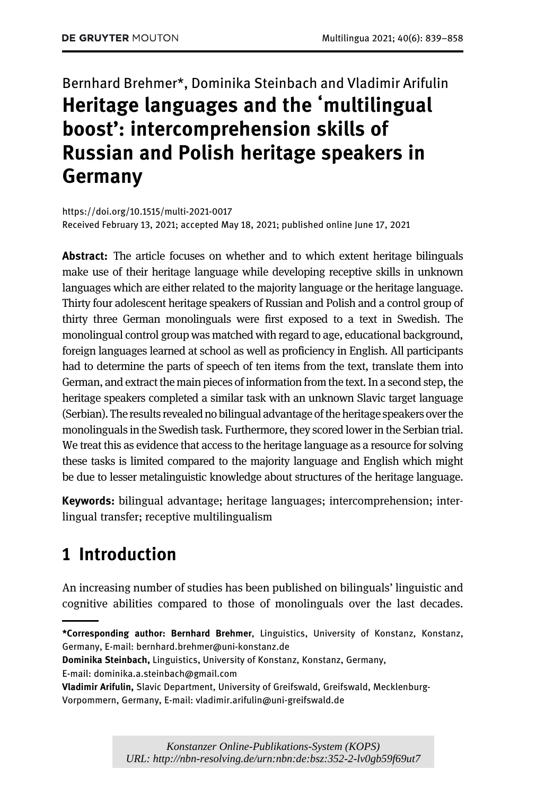# Bernhard Brehmer\*, Dominika Steinbach and Vladimir Arifulin Heritage languages and the ʻmultilingual boost': intercomprehension skills of Russian and Polish heritage speakers in Germany

<https://doi.org/10.1515/multi-2021-0017> Received February 13, 2021; accepted May 18, 2021; published online June 17, 2021

Abstract: The article focuses on whether and to which extent heritage bilinguals make use of their heritage language while developing receptive skills in unknown languages which are either related to the majority language or the heritage language. Thirty four adolescent heritage speakers of Russian and Polish and a control group of thirty three German monolinguals were first exposed to a text in Swedish. The monolingual control group was matched with regard to age, educational background, foreign languages learned at school as well as proficiency in English. All participants had to determine the parts of speech of ten items from the text, translate them into German, and extract the main pieces of information from the text. In a second step, the heritage speakers completed a similar task with an unknown Slavic target language (Serbian). The results revealed no bilingual advantage of the heritage speakers over the monolinguals in the Swedish task. Furthermore, they scored lower in the Serbian trial. We treat this as evidence that access to the heritage language as a resource for solving these tasks is limited compared to the majority language and English which might be due to lesser metalinguistic knowledge about structures of the heritage language.

Keywords: bilingual advantage; heritage languages; intercomprehension; interlingual transfer; receptive multilingualism

# <span id="page-0-0"></span>1 Introduction

An increasing number of studies has been published on bilinguals' linguistic and cognitive abilities compared to those of monolinguals over the last decades.

<sup>\*</sup>Corresponding author: Bernhard Brehmer, Linguistics, University of Konstanz, Konstanz, Germany, E-mail: [bernhard.brehmer@uni-konstanz.de](mailto:bernhard.brehmer@uni-konstanz.de)

Dominika Steinbach, Linguistics, University of Konstanz, Konstanz, Germany,

E-mail: [dominika.a.steinbach@gmail.com](mailto:dominika.a.steinbach@gmail.com)

Vladimir Arifulin, Slavic Department, University of Greifswald, Greifswald, Mecklenburg-Vorpommern, Germany, E-mail: [vladimir.arifulin@uni-greifswald.de](mailto:vladimir.arifulin@uni-greifswald.de)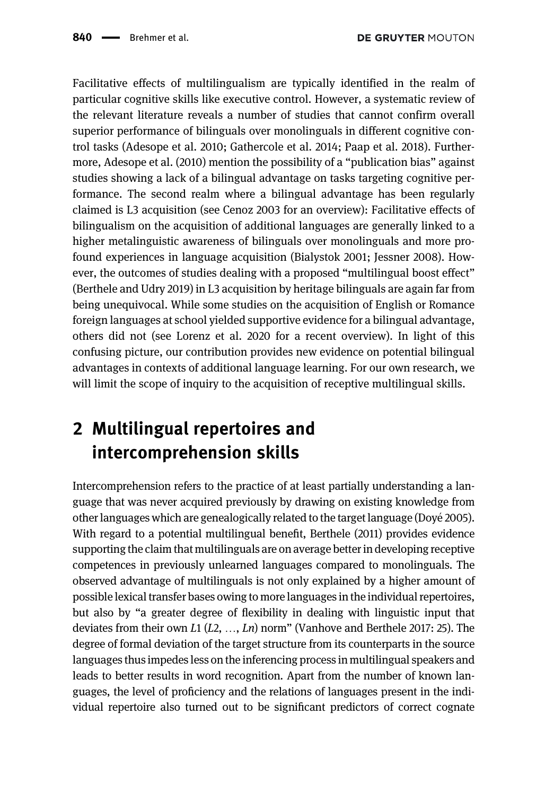Facilitative effects of multilingualism are typically identified in the realm of particular cognitive skills like executive control. However, a systematic review of the relevant literature reveals a number of studies that cannot confirm overall superior performance of bilinguals over monolinguals in different cognitive control tasks [\(Adesope et al. 2010](#page-18-0); [Gathercole et al. 2014;](#page-19-0) [Paap et al. 2018\)](#page-19-1). Furthermore, [Adesope et al. \(2010\)](#page-18-0) mention the possibility of a "publication bias" against studies showing a lack of a bilingual advantage on tasks targeting cognitive performance. The second realm where a bilingual advantage has been regularly claimed is L3 acquisition (see [Cenoz 2003](#page-19-2) for an overview): Facilitative effects of bilingualism on the acquisition of additional languages are generally linked to a higher metalinguistic awareness of bilinguals over monolinguals and more profound experiences in language acquisition [\(Bialystok 2001;](#page-18-1) [Jessner 2008\)](#page-19-3). However, the outcomes of studies dealing with a proposed "multilingual boost effect" ([Berthele and Udry 2019\)](#page-18-2) in L3 acquisition by heritage bilinguals are again far from being unequivocal. While some studies on the acquisition of English or Romance foreign languages at school yielded supportive evidence for a bilingual advantage, others did not (see [Lorenz et al. 2020](#page-19-4) for a recent overview). In light of this confusing picture, our contribution provides new evidence on potential bilingual advantages in contexts of additional language learning. For our own research, we will limit the scope of inquiry to the acquisition of receptive multilingual skills.

# <span id="page-1-0"></span>2 Multilingual repertoires and intercomprehension skills

Intercomprehension refers to the practice of at least partially understanding a language that was never acquired previously by drawing on existing knowledge from other languages which are genealogically related to the target language ([Doye 2005\)](#page-19-5). ´ With regard to a potential multilingual benefit, [Berthele \(2011\)](#page-18-3) provides evidence supporting the claim that multilinguals are on average better in developing receptive competences in previously unlearned languages compared to monolinguals. The observed advantage of multilinguals is not only explained by a higher amount of possible lexical transfer bases owing to more languages in the individual repertoires, but also by "a greater degree of flexibility in dealing with linguistic input that deviates from their own  $L_1(L_2, ..., L_n)$  norm" ([Vanhove and Berthele 2017:](#page-19-6) 25). The degree of formal deviation of the target structure from its counterparts in the source languages thus impedes less on the inferencing process in multilingual speakers and leads to better results in word recognition. Apart from the number of known languages, the level of proficiency and the relations of languages present in the individual repertoire also turned out to be significant predictors of correct cognate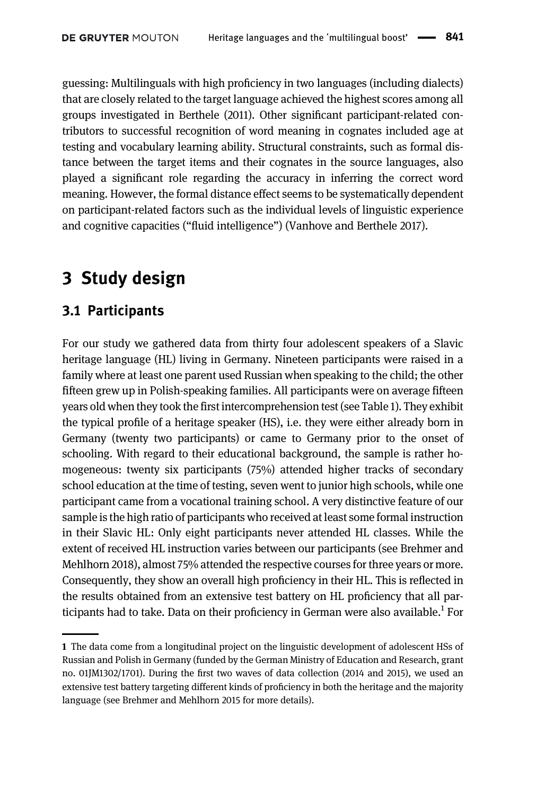guessing: Multilinguals with high proficiency in two languages (including dialects) that are closely related to the target language achieved the highest scores among all groups investigated in [Berthele \(2011\)](#page-18-3). Other significant participant-related contributors to successful recognition of word meaning in cognates included age at testing and vocabulary learning ability. Structural constraints, such as formal distance between the target items and their cognates in the source languages, also played a significant role regarding the accuracy in inferring the correct word meaning. However, the formal distance effect seems to be systematically dependent on participant-related factors such as the individual levels of linguistic experience and cognitive capacities ("fluid intelligence") ([Vanhove and Berthele 2017](#page-19-6)).

## <span id="page-2-0"></span>3 Study design

### 3.1 Participants

For our study we gathered data from thirty four adolescent speakers of a Slavic heritage language (HL) living in Germany. Nineteen participants were raised in a family where at least one parent used Russian when speaking to the child; the other fifteen grew up in Polish-speaking families. All participants were on average fifteen years old when they took the first intercomprehension test (see [Table 1\)](#page-3-0). They exhibit the typical profile of a heritage speaker (HS), i.e. they were either already born in Germany (twenty two participants) or came to Germany prior to the onset of schooling. With regard to their educational background, the sample is rather homogeneous: twenty six participants (75%) attended higher tracks of secondary school education at the time of testing, seven went to junior high schools, while one participant came from a vocational training school. A very distinctive feature of our sample is the high ratio of participants who received at least some formal instruction in their Slavic HL: Only eight participants never attended HL classes. While the extent of received HL instruction varies between our participants (see [Brehmer and](#page-18-4) [Mehlhorn 2018\)](#page-18-4), almost 75% attended the respective courses for three years or more. Consequently, they show an overall high proficiency in their HL. This is reflected in the results obtained from an extensive test battery on HL proficiency that all participants had to take. Data on their proficiency in German were also available.1 For

<sup>1</sup> The data come from a longitudinal project on the linguistic development of adolescent HSs of Russian and Polish in Germany (funded by the German Ministry of Education and Research, grant no. 01JM1302/1701). During the first two waves of data collection (2014 and 2015), we used an extensive test battery targeting different kinds of proficiency in both the heritage and the majority language (see [Brehmer and Mehlhorn 2015](#page-18-5) for more details).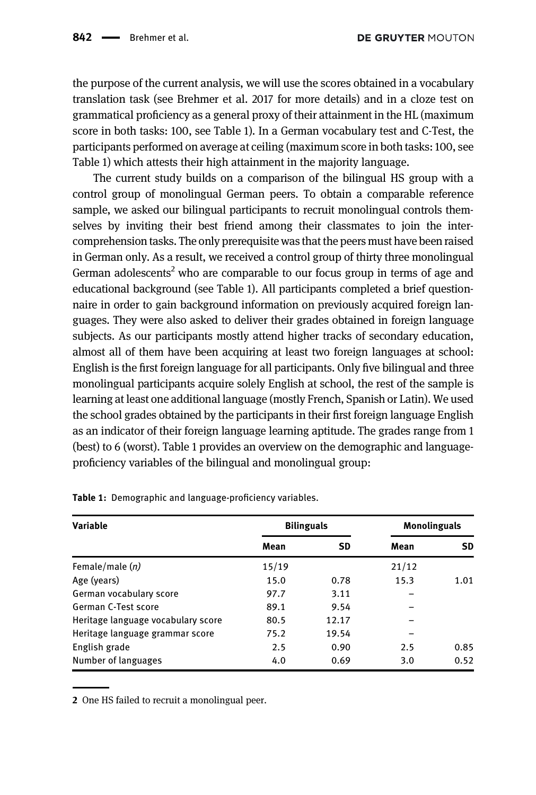the purpose of the current analysis, we will use the scores obtained in a vocabulary translation task (see [Brehmer et al. 2017](#page-18-6) for more details) and in a cloze test on grammatical proficiency as a general proxy of their attainment in the HL (maximum score in both tasks: 100, see [Table 1\)](#page-3-0). In a German vocabulary test and C-Test, the participants performed on average at ceiling (maximum score in both tasks: 100, see [Table 1\)](#page-3-0) which attests their high attainment in the majority language.

The current study builds on a comparison of the bilingual HS group with a control group of monolingual German peers. To obtain a comparable reference sample, we asked our bilingual participants to recruit monolingual controls themselves by inviting their best friend among their classmates to join the intercomprehension tasks. The only prerequisite was that the peers must have been raised in German only. As a result, we received a control group of thirty three monolingual German adolescents<sup>2</sup> who are comparable to our focus group in terms of age and educational background (see [Table 1](#page-3-0)). All participants completed a brief questionnaire in order to gain background information on previously acquired foreign languages. They were also asked to deliver their grades obtained in foreign language subjects. As our participants mostly attend higher tracks of secondary education, almost all of them have been acquiring at least two foreign languages at school: English is the first foreign language for all participants. Only five bilingual and three monolingual participants acquire solely English at school, the rest of the sample is learning at least one additional language (mostly French, Spanish or Latin). We used the school grades obtained by the participants in their first foreign language English as an indicator of their foreign language learning aptitude. The grades range from 1 (best) to 6 (worst). [Table 1](#page-3-0) provides an overview on the demographic and languageproficiency variables of the bilingual and monolingual group:

| Variable                           | <b>Bilinguals</b> |       | <b>Monolinguals</b> |      |
|------------------------------------|-------------------|-------|---------------------|------|
|                                    | Mean              | SD    | Mean                | SD.  |
| Female/male $(n)$                  | 15/19             |       | 21/12               |      |
| Age (years)                        | 15.0              | 0.78  | 15.3                | 1.01 |
| German vocabulary score            | 97.7              | 3.11  |                     |      |
| German C-Test score                | 89.1              | 9.54  |                     |      |
| Heritage language vocabulary score | 80.5              | 12.17 |                     |      |
| Heritage language grammar score    | 75.2              | 19.54 |                     |      |
| English grade                      | 2.5               | 0.90  | 2.5                 | 0.85 |
| Number of languages                | 4.0               | 0.69  | 3.0                 | 0.52 |

<span id="page-3-0"></span>Table 1: Demographic and language-proficiency variables.

2 One HS failed to recruit a monolingual peer.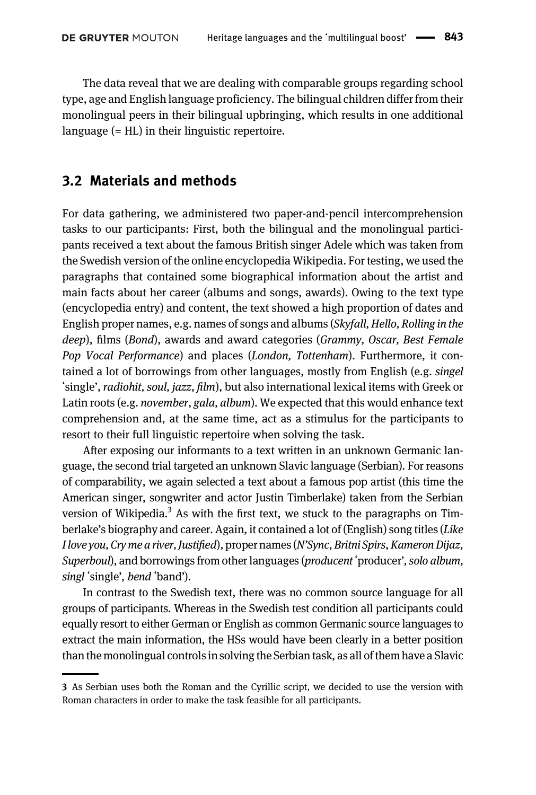The data reveal that we are dealing with comparable groups regarding school type, age and English language proficiency. The bilingual children differ from their monolingual peers in their bilingual upbringing, which results in one additional language (= HL) in their linguistic repertoire.

#### <span id="page-4-0"></span>3.2 Materials and methods

For data gathering, we administered two paper-and-pencil intercomprehension tasks to our participants: First, both the bilingual and the monolingual participants received a text about the famous British singer Adele which was taken from the Swedish version of the online encyclopedia Wikipedia. For testing, we used the paragraphs that contained some biographical information about the artist and main facts about her career (albums and songs, awards). Owing to the text type (encyclopedia entry) and content, the text showed a high proportion of dates and English proper names, e.g. names of songs and albums (Skyfall, Hello, Rolling in the deep), films (Bond), awards and award categories (Grammy, Oscar, Best Female Pop Vocal Performance) and places (London, Tottenham). Furthermore, it contained a lot of borrowings from other languages, mostly from English (e.g. singel ʻsingle', radiohit, soul, jazz, film), but also international lexical items with Greek or Latin roots (e.g. november, gala, album). We expected that this would enhance text comprehension and, at the same time, act as a stimulus for the participants to resort to their full linguistic repertoire when solving the task.

After exposing our informants to a text written in an unknown Germanic language, the second trial targeted an unknown Slavic language (Serbian). For reasons of comparability, we again selected a text about a famous pop artist (this time the American singer, songwriter and actor Justin Timberlake) taken from the Serbian version of Wikipedia.<sup>3</sup> As with the first text, we stuck to the paragraphs on Timberlake's biography and career. Again, it contained a lot of (English) song titles (Like I love you, Cry me a river, Justified), proper names (N'Sync, Britni Spirs, Kameron Dijaz, Superboul), and borrowings from other languages (*producent* 'producer', solo album, singl ʻsingle', bend ʻband').

In contrast to the Swedish text, there was no common source language for all groups of participants. Whereas in the Swedish test condition all participants could equally resort to either German or English as common Germanic source languages to extract the main information, the HSs would have been clearly in a better position than the monolingual controls in solving the Serbian task, as all of them have a Slavic

<sup>3</sup> As Serbian uses both the Roman and the Cyrillic script, we decided to use the version with Roman characters in order to make the task feasible for all participants.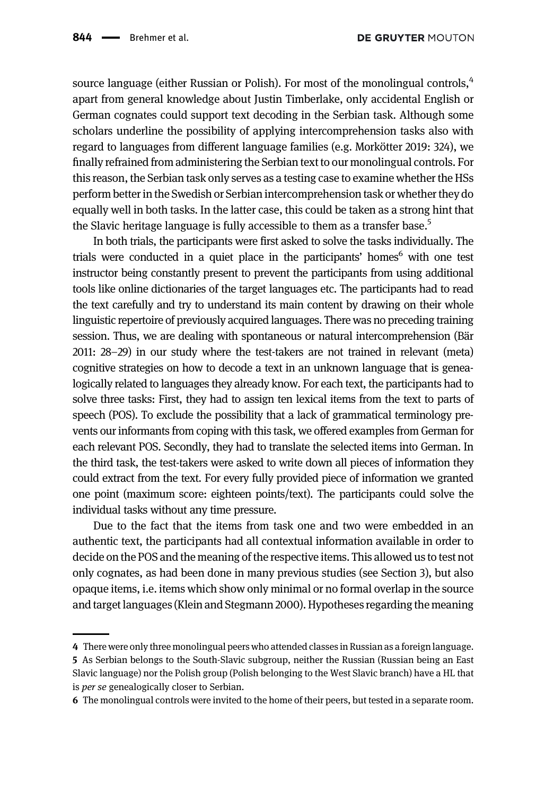source language (either Russian or Polish). For most of the monolingual controls,<sup>4</sup> apart from general knowledge about Justin Timberlake, only accidental English or German cognates could support text decoding in the Serbian task. Although some scholars underline the possibility of applying intercomprehension tasks also with regard to languages from different language families (e.g. [Morkötter 2019](#page-19-7): 324), we finally refrained from administering the Serbian text to our monolingual controls. For this reason, the Serbian task only serves as a testing case to examine whether the HSs perform better in the Swedish or Serbian intercomprehension task or whether they do equally well in both tasks. In the latter case, this could be taken as a strong hint that the Slavic heritage language is fully accessible to them as a transfer base.<sup>5</sup>

In both trials, the participants were first asked to solve the tasks individually. The trials were conducted in a quiet place in the participants' homes<sup>6</sup> with one test instructor being constantly present to prevent the participants from using additional tools like online dictionaries of the target languages etc. The participants had to read the text carefully and try to understand its main content by drawing on their whole linguistic repertoire of previously acquired languages. There was no preceding training session. Thus, we are dealing with spontaneous or natural intercomprehension [\(Bär](#page-18-7) [2011:](#page-18-7) 28–29) in our study where the test-takers are not trained in relevant (meta) cognitive strategies on how to decode a text in an unknown language that is genealogically related to languages they already know. For each text, the participants had to solve three tasks: First, they had to assign ten lexical items from the text to parts of speech (POS). To exclude the possibility that a lack of grammatical terminology prevents our informants from coping with this task, we offered examples from German for each relevant POS. Secondly, they had to translate the selected items into German. In the third task, the test-takers were asked to write down all pieces of information they could extract from the text. For every fully provided piece of information we granted one point (maximum score: eighteen points/text). The participants could solve the individual tasks without any time pressure.

Due to the fact that the items from task one and two were embedded in an authentic text, the participants had all contextual information available in order to decide on the POS and the meaning of the respective items. This allowed us to test not only cognates, as had been done in many previous studies (see [Section 3](#page-2-0)), but also opaque items, i.e. items which show only minimal or no formal overlap in the source and target languages [\(Klein and Stegmann 2000\)](#page-19-8). Hypotheses regarding the meaning

<sup>4</sup> There were only three monolingual peers who attended classes in Russian as a foreign language. 5 As Serbian belongs to the South-Slavic subgroup, neither the Russian (Russian being an East Slavic language) nor the Polish group (Polish belonging to the West Slavic branch) have a HL that is *per se* genealogically closer to Serbian.

<sup>6</sup> The monolingual controls were invited to the home of their peers, but tested in a separate room.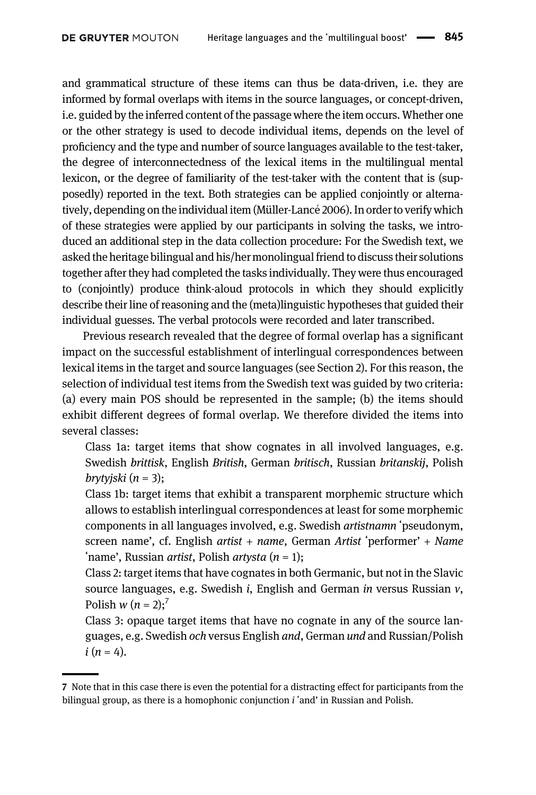and grammatical structure of these items can thus be data-driven, i.e. they are informed by formal overlaps with items in the source languages, or concept-driven, i.e. guided by the inferred content of the passage where the item occurs. Whether one or the other strategy is used to decode individual items, depends on the level of proficiency and the type and number of source languages available to the test-taker, the degree of interconnectedness of the lexical items in the multilingual mental lexicon, or the degree of familiarity of the test-taker with the content that is (supposedly) reported in the text. Both strategies can be applied conjointly or alternatively, depending on the individual item (Müller-Lancé 2006). In order to verify which of these strategies were applied by our participants in solving the tasks, we introduced an additional step in the data collection procedure: For the Swedish text, we asked the heritage bilingual and his/her monolingual friend to discuss their solutions together after they had completed the tasks individually. They were thus encouraged to (conjointly) produce think-aloud protocols in which they should explicitly describe their line of reasoning and the (meta)linguistic hypotheses that guided their individual guesses. The verbal protocols were recorded and later transcribed.

Previous research revealed that the degree of formal overlap has a significant impact on the successful establishment of interlingual correspondences between lexical items in the target and source languages (see [Section 2\)](#page-1-0). For this reason, the selection of individual test items from the Swedish text was guided by two criteria: (a) every main POS should be represented in the sample; (b) the items should exhibit different degrees of formal overlap. We therefore divided the items into several classes:

Class 1a: target items that show cognates in all involved languages, e.g. Swedish brittisk, English British, German britisch, Russian britanskij, Polish  $b$ rytyjski (n = 3);

Class 1b: target items that exhibit a transparent morphemic structure which allows to establish interlingual correspondences at least for some morphemic components in all languages involved, e.g. Swedish artistnamn ʻpseudonym, screen name', cf. English artist + name, German Artist ʻperformer' + Name 'name', Russian *artist*, Polish *artysta*  $(n = 1)$ ;

Class 2: target items that have cognates in both Germanic, but not in the Slavic source languages, e.g. Swedish  $i$ , English and German in versus Russian  $v$ , Polish  $w (n = 2)$ ;<sup>7</sup>

Class 3: opaque target items that have no cognate in any of the source languages, e.g. Swedish och versus English and, German und and Russian/Polish  $i (n = 4)$ .

<sup>7</sup> Note that in this case there is even the potential for a distracting effect for participants from the bilingual group, as there is a homophonic conjunction  $i$  'and' in Russian and Polish.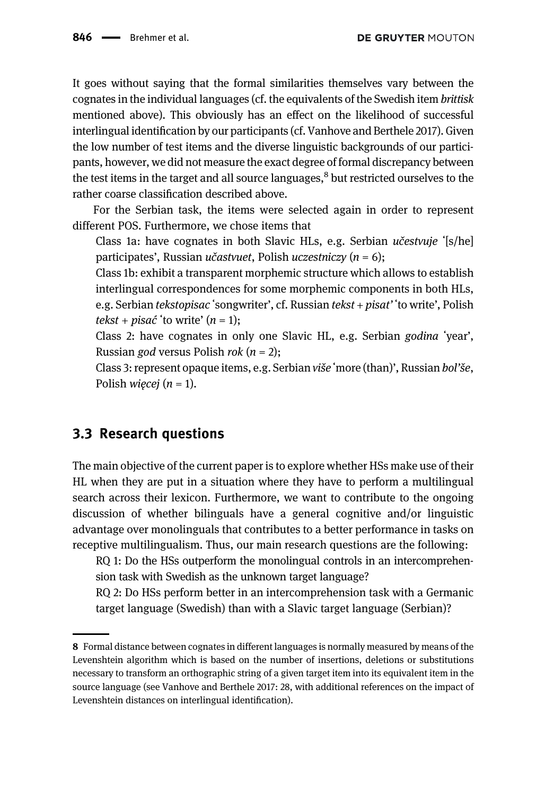It goes without saying that the formal similarities themselves vary between the cognates in the individual languages (cf. the equivalents of the Swedish item brittisk mentioned above). This obviously has an effect on the likelihood of successful interlingual identification by our participants (cf. [Vanhove and Berthele 2017](#page-19-6)). Given the low number of test items and the diverse linguistic backgrounds of our participants, however, we did not measure the exact degree of formal discrepancy between the test items in the target and all source languages, $8$  but restricted ourselves to the rather coarse classification described above.

For the Serbian task, the items were selected again in order to represent different POS. Furthermore, we chose items that

Class 1a: have cognates in both Slavic HLs, e.g. Serbian učestvuje ʻ[s/he] participates', Russian *učastvuet*, Polish *uczestniczy* ( $n = 6$ );

Class 1b: exhibit a transparent morphemic structure which allows to establish interlingual correspondences for some morphemic components in both HLs, e.g. Serbian tekstopisac ʻsongwriter', cf. Russian tekst + pisat' ʻto write', Polish tekst + pisać 'to write'  $(n = 1)$ ;

Class 2: have cognates in only one Slavic HL, e.g. Serbian godina ʻyear', Russian god versus Polish rok  $(n = 2)$ ;

Class 3: represent opaque items, e.g. Serbian više ʻmore (than)', Russian bol'še, Polish *więcej* ( $n = 1$ ).

### 3.3 Research questions

The main objective of the current paper is to explore whether HSs make use of their HL when they are put in a situation where they have to perform a multilingual search across their lexicon. Furthermore, we want to contribute to the ongoing discussion of whether bilinguals have a general cognitive and/or linguistic advantage over monolinguals that contributes to a better performance in tasks on receptive multilingualism. Thus, our main research questions are the following:

RQ 1: Do the HSs outperform the monolingual controls in an intercomprehension task with Swedish as the unknown target language?

RQ 2: Do HSs perform better in an intercomprehension task with a Germanic target language (Swedish) than with a Slavic target language (Serbian)?

<sup>8</sup> Formal distance between cognates in different languages is normally measured by means of the Levenshtein algorithm which is based on the number of insertions, deletions or substitutions necessary to transform an orthographic string of a given target item into its equivalent item in the source language (see [Vanhove and Berthele 2017:](#page-19-6) 28, with additional references on the impact of Levenshtein distances on interlingual identification).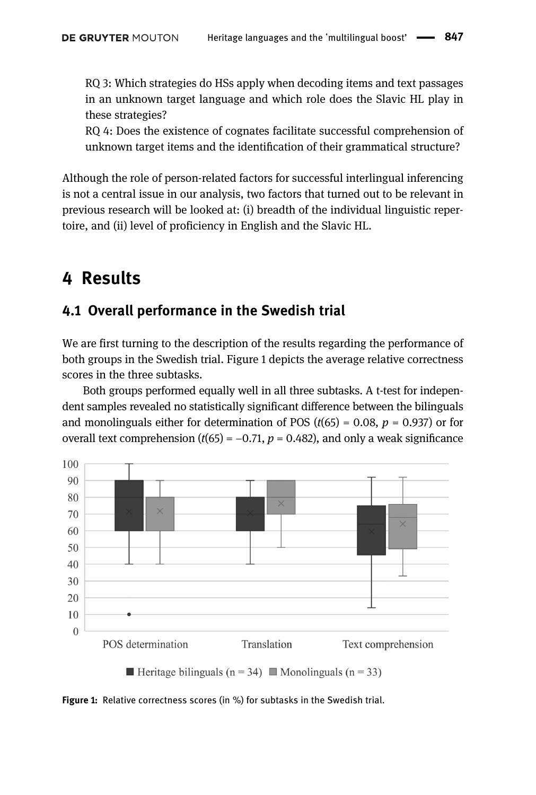RQ 3: Which strategies do HSs apply when decoding items and text passages in an unknown target language and which role does the Slavic HL play in these strategies?

RQ 4: Does the existence of cognates facilitate successful comprehension of unknown target items and the identification of their grammatical structure?

Although the role of person-related factors for successful interlingual inferencing is not a central issue in our analysis, two factors that turned out to be relevant in previous research will be looked at: (i) breadth of the individual linguistic repertoire, and (ii) level of proficiency in English and the Slavic HL.

## 4 Results

### 4.1 Overall performance in the Swedish trial

We are first turning to the description of the results regarding the performance of both groups in the Swedish trial. [Figure 1](#page-8-0) depicts the average relative correctness scores in the three subtasks.

Both groups performed equally well in all three subtasks. A t-test for independent samples revealed no statistically significant difference between the bilinguals and monolinguals either for determination of POS ( $t(65) = 0.08$ ,  $p = 0.937$ ) or for overall text comprehension ( $t(65) = -0.71$ ,  $p = 0.482$ ), and only a weak significance



<span id="page-8-0"></span>Figure 1: Relative correctness scores (in %) for subtasks in the Swedish trial.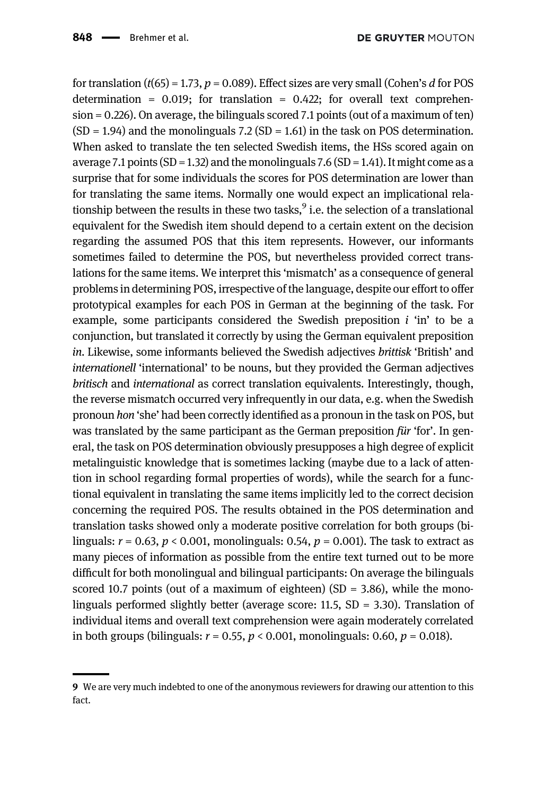for translation ( $t(65) = 1.73$ ,  $p = 0.089$ ). Effect sizes are very small (Cohen's d for POS determination =  $0.019$ ; for translation =  $0.422$ ; for overall text comprehension = 0.226). On average, the bilinguals scored 7.1 points (out of a maximum of ten)  $(SD = 1.94)$  and the monolinguals 7.2  $(SD = 1.61)$  in the task on POS determination. When asked to translate the ten selected Swedish items, the HSs scored again on average 7.1 points (SD = 1.32) and the monolinguals 7.6 (SD = 1.41). It might come as a surprise that for some individuals the scores for POS determination are lower than for translating the same items. Normally one would expect an implicational relationship between the results in these two tasks, $9$  i.e. the selection of a translational equivalent for the Swedish item should depend to a certain extent on the decision regarding the assumed POS that this item represents. However, our informants sometimes failed to determine the POS, but nevertheless provided correct translations for the same items. We interpret this 'mismatch' as a consequence of general problems in determining POS, irrespective of the language, despite our effort to offer prototypical examples for each POS in German at the beginning of the task. For example, some participants considered the Swedish preposition  $i$  'in' to be a conjunction, but translated it correctly by using the German equivalent preposition in. Likewise, some informants believed the Swedish adjectives brittisk 'British' and internationell 'international' to be nouns, but they provided the German adjectives britisch and international as correct translation equivalents. Interestingly, though, the reverse mismatch occurred very infrequently in our data, e.g. when the Swedish pronoun hon 'she' had been correctly identified as a pronoun in the task on POS, but was translated by the same participant as the German preposition für 'for'. In general, the task on POS determination obviously presupposes a high degree of explicit metalinguistic knowledge that is sometimes lacking (maybe due to a lack of attention in school regarding formal properties of words), while the search for a functional equivalent in translating the same items implicitly led to the correct decision concerning the required POS. The results obtained in the POS determination and translation tasks showed only a moderate positive correlation for both groups (bilinguals:  $r = 0.63$ ,  $p < 0.001$ , monolinguals: 0.54,  $p = 0.001$ ). The task to extract as many pieces of information as possible from the entire text turned out to be more difficult for both monolingual and bilingual participants: On average the bilinguals scored 10.7 points (out of a maximum of eighteen)  $(SD = 3.86)$ , while the monolinguals performed slightly better (average score:  $11.5$ ,  $SD = 3.30$ ). Translation of individual items and overall text comprehension were again moderately correlated in both groups (bilinguals:  $r = 0.55$ ,  $p < 0.001$ , monolinguals: 0.60,  $p = 0.018$ ).

<sup>9</sup> We are very much indebted to one of the anonymous reviewers for drawing our attention to this fact.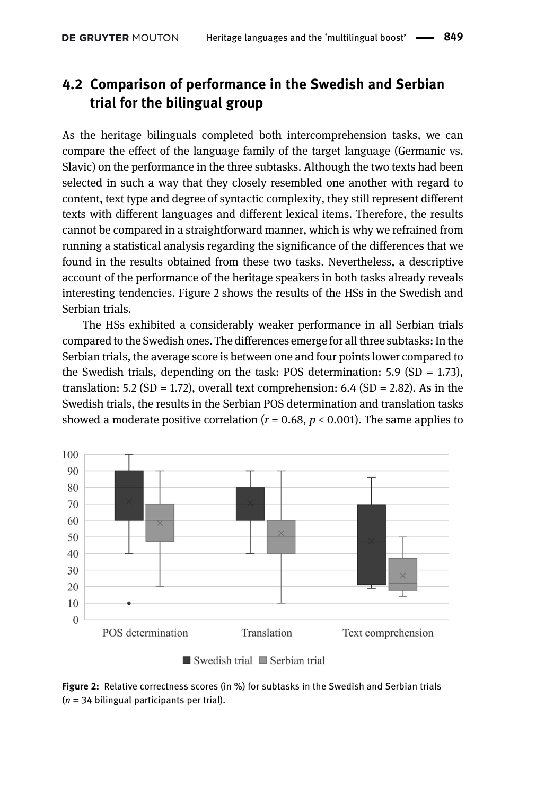### <span id="page-10-1"></span>4.2 Comparison of performance in the Swedish and Serbian trial for the bilingual group

As the heritage bilinguals completed both intercomprehension tasks, we can compare the effect of the language family of the target language (Germanic vs. Slavic) on the performance in the three subtasks. Although the two texts had been selected in such a way that they closely resembled one another with regard to content, text type and degree of syntactic complexity, they still represent different texts with different languages and different lexical items. Therefore, the results cannot be compared in a straightforward manner, which is why we refrained from running a statistical analysis regarding the significance of the differences that we found in the results obtained from these two tasks. Nevertheless, a descriptive account of the performance of the heritage speakers in both tasks already reveals interesting tendencies. [Figure 2](#page-10-0) shows the results of the HSs in the Swedish and Serbian trials.

The HSs exhibited a considerably weaker performance in all Serbian trials compared to the Swedish ones. The differences emerge for all three subtasks: In the Serbian trials, the average score is between one and four points lower compared to the Swedish trials, depending on the task: POS determination:  $5.9$  (SD = 1.73), translation:  $5.2$  (SD = 1.72), overall text comprehension:  $6.4$  (SD = 2.82). As in the Swedish trials, the results in the Serbian POS determination and translation tasks showed a moderate positive correlation  $(r = 0.68, p < 0.001)$ . The same applies to





<span id="page-10-0"></span>Figure 2: Relative correctness scores (in %) for subtasks in the Swedish and Serbian trials  $(n = 34$  bilingual participants per trial).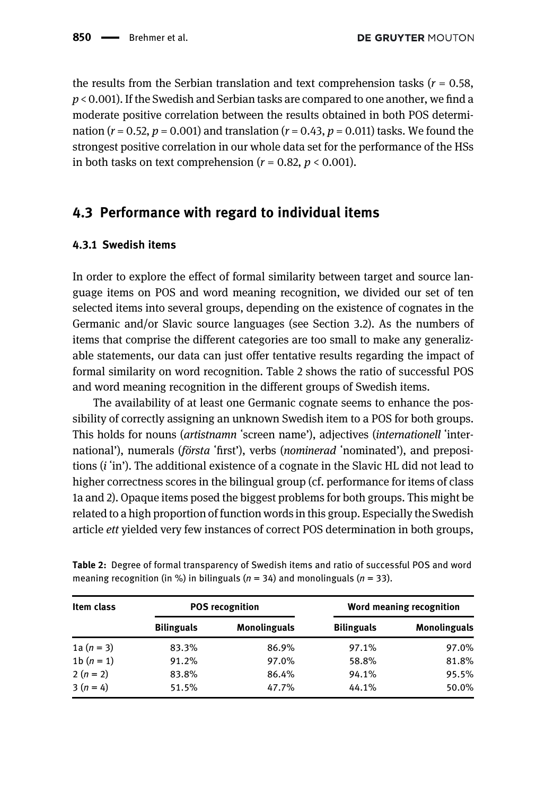the results from the Serbian translation and text comprehension tasks ( $r = 0.58$ ,  $p < 0.001$ ). If the Swedish and Serbian tasks are compared to one another, we find a moderate positive correlation between the results obtained in both POS determination ( $r = 0.52$ ,  $p = 0.001$ ) and translation ( $r = 0.43$ ,  $p = 0.011$ ) tasks. We found the strongest positive correlation in our whole data set for the performance of the HSs in both tasks on text comprehension ( $r = 0.82$ ,  $p < 0.001$ ).

### 4.3 Performance with regard to individual items

#### 4.3.1 Swedish items

In order to explore the effect of formal similarity between target and source language items on POS and word meaning recognition, we divided our set of ten selected items into several groups, depending on the existence of cognates in the Germanic and/or Slavic source languages (see [Section 3.2](#page-4-0)). As the numbers of items that comprise the different categories are too small to make any generalizable statements, our data can just offer tentative results regarding the impact of formal similarity on word recognition. [Table 2](#page-11-0) shows the ratio of successful POS and word meaning recognition in the different groups of Swedish items.

The availability of at least one Germanic cognate seems to enhance the possibility of correctly assigning an unknown Swedish item to a POS for both groups. This holds for nouns (artistnamn ʻscreen name'), adjectives (internationell ʻinternational'), numerals (*första* 'first'), verbs (*nominerad* 'nominated'), and prepositions (i ʻin'). The additional existence of a cognate in the Slavic HL did not lead to higher correctness scores in the bilingual group (cf. performance for items of class 1a and 2). Opaque items posed the biggest problems for both groups. This might be related to a high proportion of function words in this group. Especially the Swedish article ett yielded very few instances of correct POS determination in both groups,

| Item class   | <b>POS</b> recognition |                     | Word meaning recognition |                     |
|--------------|------------------------|---------------------|--------------------------|---------------------|
|              | <b>Bilinguals</b>      | <b>Monolinguals</b> | <b>Bilinguals</b>        | <b>Monolinguals</b> |
| 1a $(n = 3)$ | 83.3%                  | 86.9%               | 97.1%                    | 97.0%               |
| 1 $b(n = 1)$ | 91.2%                  | 97.0%               | 58.8%                    | 81.8%               |
| $2(n = 2)$   | 83.8%                  | 86.4%               | 94.1%                    | 95.5%               |
| $3(n = 4)$   | 51.5%                  | 47.7%               | 44.1%                    | 50.0%               |

<span id="page-11-0"></span>Table 2: Degree of formal transparency of Swedish items and ratio of successful POS and word meaning recognition (in %) in bilinguals ( $n = 34$ ) and monolinguals ( $n = 33$ ).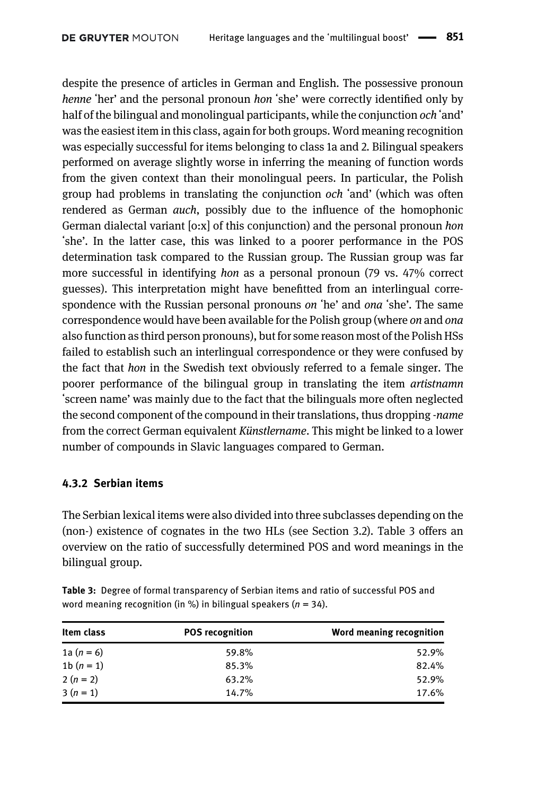despite the presence of articles in German and English. The possessive pronoun henne 'her' and the personal pronoun hon 'she' were correctly identified only by half of the bilingual and monolingual participants, while the conjunction *och* 'and' was the easiest item in this class, again for both groups. Word meaning recognition was especially successful for items belonging to class 1a and 2. Bilingual speakers performed on average slightly worse in inferring the meaning of function words from the given context than their monolingual peers. In particular, the Polish group had problems in translating the conjunction och ʻand' (which was often rendered as German auch, possibly due to the influence of the homophonic German dialectal variant [o:x] of this conjunction) and the personal pronoun hon ʻshe'. In the latter case, this was linked to a poorer performance in the POS determination task compared to the Russian group. The Russian group was far more successful in identifying hon as a personal pronoun (79 vs. 47% correct guesses). This interpretation might have benefitted from an interlingual correspondence with the Russian personal pronouns on 'he' and ona 'she'. The same correspondence would have been available for the Polish group (where on and ona also function as third person pronouns), but for some reason most of the Polish HSs failed to establish such an interlingual correspondence or they were confused by the fact that hon in the Swedish text obviously referred to a female singer. The poorer performance of the bilingual group in translating the item artistnamn ʻscreen name' was mainly due to the fact that the bilinguals more often neglected the second component of the compound in their translations, thus dropping -name from the correct German equivalent Künstlername. This might be linked to a lower number of compounds in Slavic languages compared to German.

#### 4.3.2 Serbian items

The Serbian lexical items were also divided into three subclasses depending on the (non-) existence of cognates in the two HLs (see [Section 3.2\)](#page-4-0). [Table 3](#page-12-0) offers an overview on the ratio of successfully determined POS and word meanings in the bilingual group.

| Item class   | <b>POS recognition</b> | Word meaning recognition |
|--------------|------------------------|--------------------------|
| 1a $(n = 6)$ | 59.8%                  | 52.9%                    |
| 1b $(n = 1)$ | 85.3%                  | 82.4%                    |
| $2(n=2)$     | 63.2%                  | 52.9%                    |
| $3(n = 1)$   | 14.7%                  | 17.6%                    |

<span id="page-12-0"></span>Table 3: Degree of formal transparency of Serbian items and ratio of successful POS and word meaning recognition (in %) in bilingual speakers ( $n = 34$ ).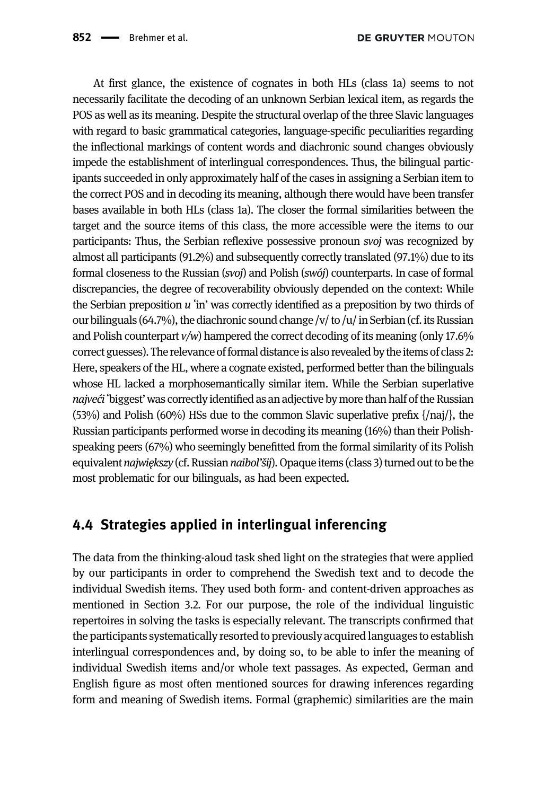At first glance, the existence of cognates in both HLs (class 1a) seems to not necessarily facilitate the decoding of an unknown Serbian lexical item, as regards the POS as well as its meaning. Despite the structural overlap of the three Slavic languages with regard to basic grammatical categories, language-specific peculiarities regarding the inflectional markings of content words and diachronic sound changes obviously impede the establishment of interlingual correspondences. Thus, the bilingual participants succeeded in only approximately half of the cases in assigning a Serbian item to the correct POS and in decoding its meaning, although there would have been transfer bases available in both HLs (class 1a). The closer the formal similarities between the target and the source items of this class, the more accessible were the items to our participants: Thus, the Serbian reflexive possessive pronoun svoj was recognized by almost all participants (91.2%) and subsequently correctly translated (97.1%) due to its formal closeness to the Russian (svoj) and Polish (swój) counterparts. In case of formal discrepancies, the degree of recoverability obviously depended on the context: While the Serbian preposition  $u$  'in' was correctly identified as a preposition by two thirds of our bilinguals (64.7%), the diachronic sound change /v/ to /u/ in Serbian (cf. its Russian and Polish counterpart  $v/w$ ) hampered the correct decoding of its meaning (only 17.6% correct guesses). The relevance of formal distance is also revealed by the items of class 2: Here, speakers of the HL, where a cognate existed, performed better than the bilinguals whose HL lacked a morphosemantically similar item. While the Serbian superlative najveći 'biggest' was correctly identified as an adjective by more than half of the Russian (53%) and Polish (60%) HSs due to the common Slavic superlative prefix {/naj/}, the Russian participants performed worse in decoding its meaning (16%) than their Polishspeaking peers (67%) who seemingly benefitted from the formal similarity of its Polish equivalent najwiekszy (cf. Russian naibol'šij). Opaque items (class 3) turned out to be the most problematic for our bilinguals, as had been expected.

## 4.4 Strategies applied in interlingual inferencing

The data from the thinking-aloud task shed light on the strategies that were applied by our participants in order to comprehend the Swedish text and to decode the individual Swedish items. They used both form- and content-driven approaches as mentioned in [Section 3.2](#page-4-0). For our purpose, the role of the individual linguistic repertoires in solving the tasks is especially relevant. The transcripts confirmed that the participants systematically resorted to previously acquired languages to establish interlingual correspondences and, by doing so, to be able to infer the meaning of individual Swedish items and/or whole text passages. As expected, German and English figure as most often mentioned sources for drawing inferences regarding form and meaning of Swedish items. Formal (graphemic) similarities are the main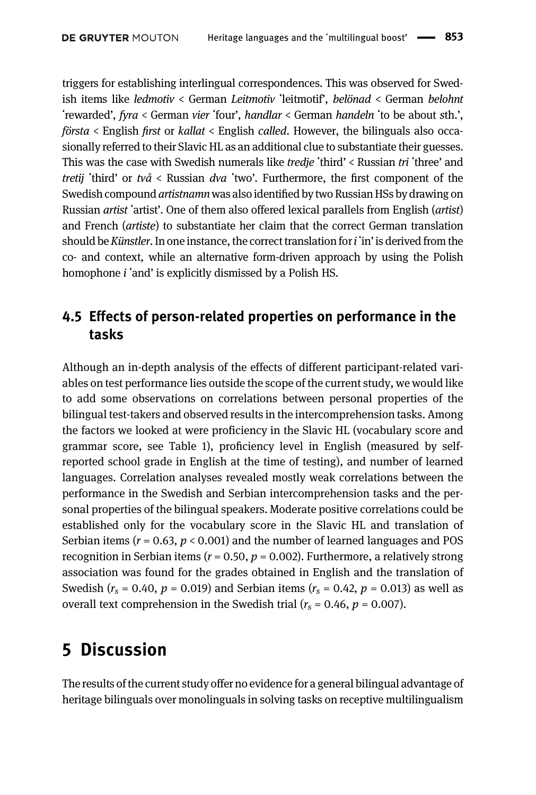triggers for establishing interlingual correspondences. This was observed for Swedish items like ledmotiv < German Leitmotiv ʻleitmotif', belönad < German belohnt ʻrewarded', fyra < German vier ʻfour', handlar < German handeln ʻto be about sth.', första < English first or kallat < English called. However, the bilinguals also occasionally referred to their Slavic HL as an additional clue to substantiate their guesses. This was the case with Swedish numerals like *tredie* 'third' < Russian tri 'three' and tretij 'third' or två < Russian dva 'two'. Furthermore, the first component of the Swedish compound artistnamn was also identified by two Russian HSs by drawing on Russian artist ʻartist'. One of them also offered lexical parallels from English (artist) and French (artiste) to substantiate her claim that the correct German translation should be *Künstler*. In one instance, the correct translation for *i* 'in' is derived from the co- and context, while an alternative form-driven approach by using the Polish homophone *i* 'and' is explicitly dismissed by a Polish HS.

### 4.5 Effects of person-related properties on performance in the tasks

Although an in-depth analysis of the effects of different participant-related variables on test performance lies outside the scope of the current study, we would like to add some observations on correlations between personal properties of the bilingual test-takers and observed results in the intercomprehension tasks. Among the factors we looked at were proficiency in the Slavic HL (vocabulary score and grammar score, see [Table 1](#page-3-0)), proficiency level in English (measured by selfreported school grade in English at the time of testing), and number of learned languages. Correlation analyses revealed mostly weak correlations between the performance in the Swedish and Serbian intercomprehension tasks and the personal properties of the bilingual speakers. Moderate positive correlations could be established only for the vocabulary score in the Slavic HL and translation of Serbian items ( $r = 0.63$ ,  $p < 0.001$ ) and the number of learned languages and POS recognition in Serbian items ( $r = 0.50$ ,  $p = 0.002$ ). Furthermore, a relatively strong association was found for the grades obtained in English and the translation of Swedish ( $r_s$  = 0.40,  $p$  = 0.019) and Serbian items ( $r_s$  = 0.42,  $p$  = 0.013) as well as overall text comprehension in the Swedish trial ( $r_s = 0.46$ ,  $p = 0.007$ ).

## 5 Discussion

The results of the current study offer no evidence for a general bilingual advantage of heritage bilinguals over monolinguals in solving tasks on receptive multilingualism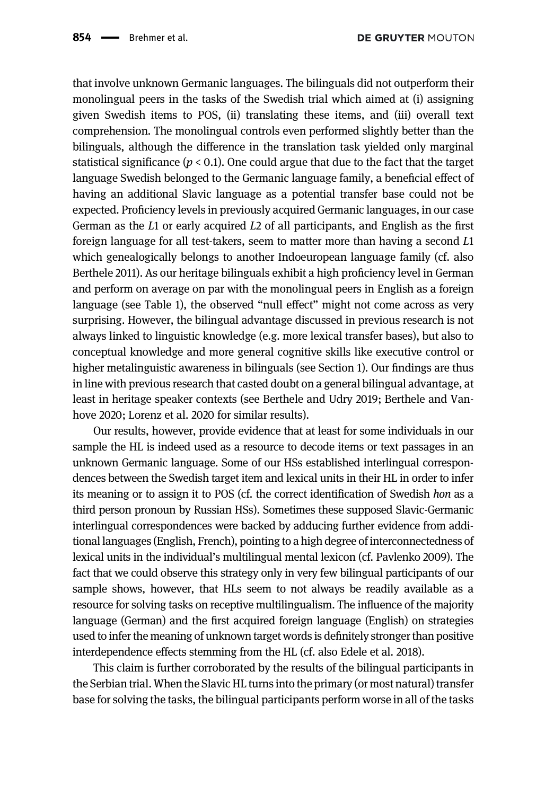that involve unknown Germanic languages. The bilinguals did not outperform their monolingual peers in the tasks of the Swedish trial which aimed at (i) assigning given Swedish items to POS, (ii) translating these items, and (iii) overall text comprehension. The monolingual controls even performed slightly better than the bilinguals, although the difference in the translation task yielded only marginal statistical significance ( $p < 0.1$ ). One could argue that due to the fact that the target language Swedish belonged to the Germanic language family, a beneficial effect of having an additional Slavic language as a potential transfer base could not be expected. Proficiency levels in previously acquired Germanic languages, in our case German as the L1 or early acquired L2 of all participants, and English as the first foreign language for all test-takers, seem to matter more than having a second L1 which genealogically belongs to another Indoeuropean language family (cf. also [Berthele 2011\)](#page-18-3). As our heritage bilinguals exhibit a high proficiency level in German and perform on average on par with the monolingual peers in English as a foreign language (see [Table 1](#page-3-0)), the observed "null effect" might not come across as very surprising. However, the bilingual advantage discussed in previous research is not always linked to linguistic knowledge (e.g. more lexical transfer bases), but also to conceptual knowledge and more general cognitive skills like executive control or higher metalinguistic awareness in bilinguals (see [Section 1](#page-0-0)). Our findings are thus in line with previous research that casted doubt on a general bilingual advantage, at least in heritage speaker contexts (see [Berthele and Udry 2019;](#page-18-2) [Berthele and Van](#page-18-8)[hove 2020](#page-18-8); [Lorenz et al. 2020](#page-19-4) for similar results).

Our results, however, provide evidence that at least for some individuals in our sample the HL is indeed used as a resource to decode items or text passages in an unknown Germanic language. Some of our HSs established interlingual correspondences between the Swedish target item and lexical units in their HL in order to infer its meaning or to assign it to POS (cf. the correct identification of Swedish hon as a third person pronoun by Russian HSs). Sometimes these supposed Slavic-Germanic interlingual correspondences were backed by adducing further evidence from additional languages (English, French), pointing to a high degree of interconnectedness of lexical units in the individual's multilingual mental lexicon (cf. [Pavlenko 2009](#page-19-10)). The fact that we could observe this strategy only in very few bilingual participants of our sample shows, however, that HLs seem to not always be readily available as a resource for solving tasks on receptive multilingualism. The influence of the majority language (German) and the first acquired foreign language (English) on strategies used to infer the meaning of unknown target words is definitely stronger than positive interdependence effects stemming from the HL (cf. also [Edele et al. 2018\)](#page-19-11).

This claim is further corroborated by the results of the bilingual participants in the Serbian trial. When the Slavic HL turns into the primary (or most natural) transfer base for solving the tasks, the bilingual participants perform worse in all of the tasks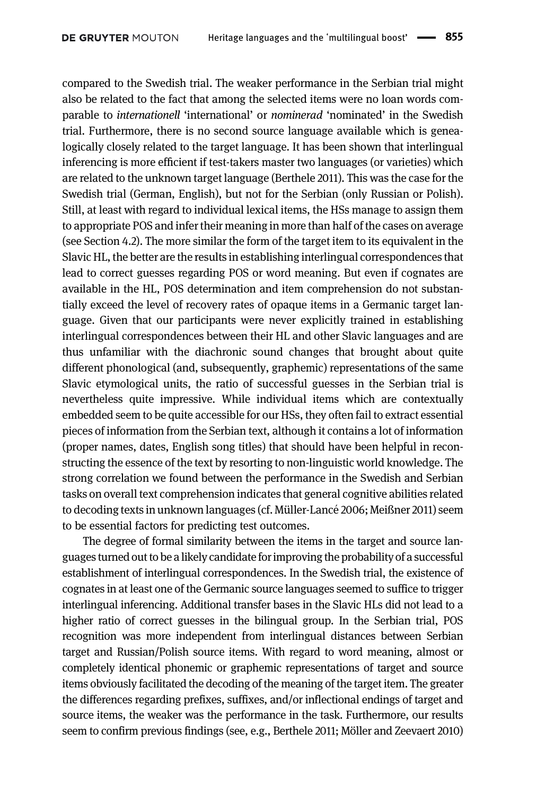compared to the Swedish trial. The weaker performance in the Serbian trial might also be related to the fact that among the selected items were no loan words comparable to internationell 'international' or nominerad 'nominated' in the Swedish trial. Furthermore, there is no second source language available which is genealogically closely related to the target language. It has been shown that interlingual inferencing is more efficient if test-takers master two languages (or varieties) which are related to the unknown target language [\(Berthele 2011](#page-18-3)). This was the case for the Swedish trial (German, English), but not for the Serbian (only Russian or Polish). Still, at least with regard to individual lexical items, the HSs manage to assign them to appropriate POS and infer their meaning in more than half of the cases on average (see [Section 4.2\)](#page-10-1). The more similar the form of the target item to its equivalent in the Slavic HL, the better are the results in establishing interlingual correspondences that lead to correct guesses regarding POS or word meaning. But even if cognates are available in the HL, POS determination and item comprehension do not substantially exceed the level of recovery rates of opaque items in a Germanic target language. Given that our participants were never explicitly trained in establishing interlingual correspondences between their HL and other Slavic languages and are thus unfamiliar with the diachronic sound changes that brought about quite different phonological (and, subsequently, graphemic) representations of the same Slavic etymological units, the ratio of successful guesses in the Serbian trial is nevertheless quite impressive. While individual items which are contextually embedded seem to be quite accessible for our HSs, they often fail to extract essential pieces of information from the Serbian text, although it contains a lot of information (proper names, dates, English song titles) that should have been helpful in reconstructing the essence of the text by resorting to non-linguistic world knowledge. The strong correlation we found between the performance in the Swedish and Serbian tasks on overall text comprehension indicates that general cognitive abilities related to decoding texts in unknown languages (cf. [Müller-Lanc](#page-19-9)é [2006;](#page-19-9) [Meißner 2011\)](#page-19-12) seem to be essential factors for predicting test outcomes.

The degree of formal similarity between the items in the target and source languages turned out to be a likely candidate for improving the probability of a successful establishment of interlingual correspondences. In the Swedish trial, the existence of cognates in at least one of the Germanic source languages seemed to suffice to trigger interlingual inferencing. Additional transfer bases in the Slavic HLs did not lead to a higher ratio of correct guesses in the bilingual group. In the Serbian trial, POS recognition was more independent from interlingual distances between Serbian target and Russian/Polish source items. With regard to word meaning, almost or completely identical phonemic or graphemic representations of target and source items obviously facilitated the decoding of the meaning of the target item. The greater the differences regarding prefixes, suffixes, and/or inflectional endings of target and source items, the weaker was the performance in the task. Furthermore, our results seem to confirm previous findings (see, e.g., [Berthele 2011;](#page-18-3) [Möller and Zeevaert 2010\)](#page-19-13)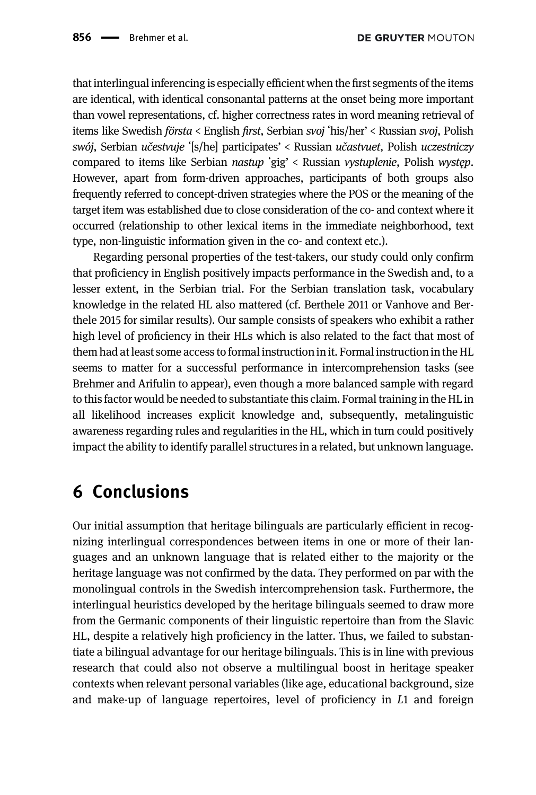that interlingual inferencing is especially efficient when the first segments of the items are identical, with identical consonantal patterns at the onset being more important than vowel representations, cf. higher correctness rates in word meaning retrieval of items like Swedish första < English first, Serbian svoj ʻhis/her' < Russian svoj, Polish swój, Serbian učestvuje ʻ[s/he] participates' < Russian učastvuet, Polish uczestniczy compared to items like Serbian nastup ʻgig' < Russian vystuplenie, Polish występ. However, apart from form-driven approaches, participants of both groups also frequently referred to concept-driven strategies where the POS or the meaning of the target item was established due to close consideration of the co- and context where it occurred (relationship to other lexical items in the immediate neighborhood, text type, non-linguistic information given in the co- and context etc.).

Regarding personal properties of the test-takers, our study could only confirm that proficiency in English positively impacts performance in the Swedish and, to a lesser extent, in the Serbian trial. For the Serbian translation task, vocabulary knowledge in the related HL also mattered (cf. [Berthele 2011](#page-18-3) or [Vanhove and Ber](#page-19-14)[thele 2015](#page-19-14) for similar results). Our sample consists of speakers who exhibit a rather high level of proficiency in their HLs which is also related to the fact that most of them had at least some access to formal instruction in it. Formal instruction in the HL seems to matter for a successful performance in intercomprehension tasks (see [Brehmer and Arifulin to appear\)](#page-19-15), even though a more balanced sample with regard to this factor would be needed to substantiate this claim. Formal training in the HL in all likelihood increases explicit knowledge and, subsequently, metalinguistic awareness regarding rules and regularities in the HL, which in turn could positively impact the ability to identify parallel structures in a related, but unknown language.

## 6 Conclusions

Our initial assumption that heritage bilinguals are particularly efficient in recognizing interlingual correspondences between items in one or more of their languages and an unknown language that is related either to the majority or the heritage language was not confirmed by the data. They performed on par with the monolingual controls in the Swedish intercomprehension task. Furthermore, the interlingual heuristics developed by the heritage bilinguals seemed to draw more from the Germanic components of their linguistic repertoire than from the Slavic HL, despite a relatively high proficiency in the latter. Thus, we failed to substantiate a bilingual advantage for our heritage bilinguals. This is in line with previous research that could also not observe a multilingual boost in heritage speaker contexts when relevant personal variables (like age, educational background, size and make-up of language repertoires, level of proficiency in L1 and foreign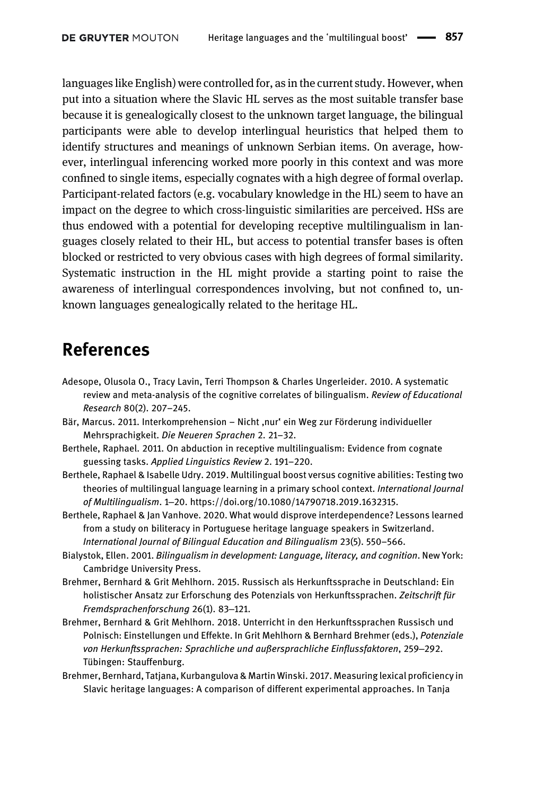languages like English) were controlled for, as in the current study. However, when put into a situation where the Slavic HL serves as the most suitable transfer base because it is genealogically closest to the unknown target language, the bilingual participants were able to develop interlingual heuristics that helped them to identify structures and meanings of unknown Serbian items. On average, however, interlingual inferencing worked more poorly in this context and was more confined to single items, especially cognates with a high degree of formal overlap. Participant-related factors (e.g. vocabulary knowledge in the HL) seem to have an impact on the degree to which cross-linguistic similarities are perceived. HSs are thus endowed with a potential for developing receptive multilingualism in languages closely related to their HL, but access to potential transfer bases is often blocked or restricted to very obvious cases with high degrees of formal similarity. Systematic instruction in the HL might provide a starting point to raise the awareness of interlingual correspondences involving, but not confined to, unknown languages genealogically related to the heritage HL.

## References

- <span id="page-18-0"></span>Adesope, Olusola O., Tracy Lavin, Terri Thompson & Charles Ungerleider. 2010. A systematic review and meta-analysis of the cognitive correlates of bilingualism. Review of Educational Research 80(2). 207–245.
- <span id="page-18-7"></span>Bär, Marcus. 2011. Interkomprehension – Nicht ,nur' ein Weg zur Förderung individueller Mehrsprachigkeit. Die Neueren Sprachen 2. 21–32.
- <span id="page-18-3"></span>Berthele, Raphael. 2011. On abduction in receptive multilingualism: Evidence from cognate guessing tasks. Applied Linguistics Review 2. 191–220.
- <span id="page-18-2"></span>Berthele, Raphael & Isabelle Udry. 2019. Multilingual boost versus cognitive abilities: Testing two theories of multilingual language learning in a primary school context. International Journal of Multilingualism. 1‒20.<https://doi.org/10.1080/14790718.2019.1632315>.
- <span id="page-18-8"></span>Berthele, Raphael & Jan Vanhove. 2020. What would disprove interdependence? Lessons learned from a study on biliteracy in Portuguese heritage language speakers in Switzerland. International Journal of Bilingual Education and Bilingualism 23(5). 550–566.
- <span id="page-18-1"></span>Bialystok, Ellen. 2001. Bilingualism in development: Language, literacy, and cognition. New York: Cambridge University Press.
- <span id="page-18-5"></span>Brehmer, Bernhard & Grit Mehlhorn. 2015. Russisch als Herkunftssprache in Deutschland: Ein holistischer Ansatz zur Erforschung des Potenzials von Herkunftssprachen. Zeitschrift für Fremdsprachenforschung 26(1). 83-121.
- <span id="page-18-4"></span>Brehmer, Bernhard & Grit Mehlhorn. 2018. Unterricht in den Herkunftssprachen Russisch und Polnisch: Einstellungen und Effekte. In Grit Mehlhorn & Bernhard Brehmer (eds.), Potenziale von Herkunftssprachen: Sprachliche und außersprachliche Einflussfaktoren, 259‒292. Tübingen: Stauffenburg.
- <span id="page-18-6"></span>Brehmer, Bernhard, Tatjana, Kurbangulova & Martin Winski. 2017. Measuring lexical proficiency in Slavic heritage languages: A comparison of different experimental approaches. In Tanja